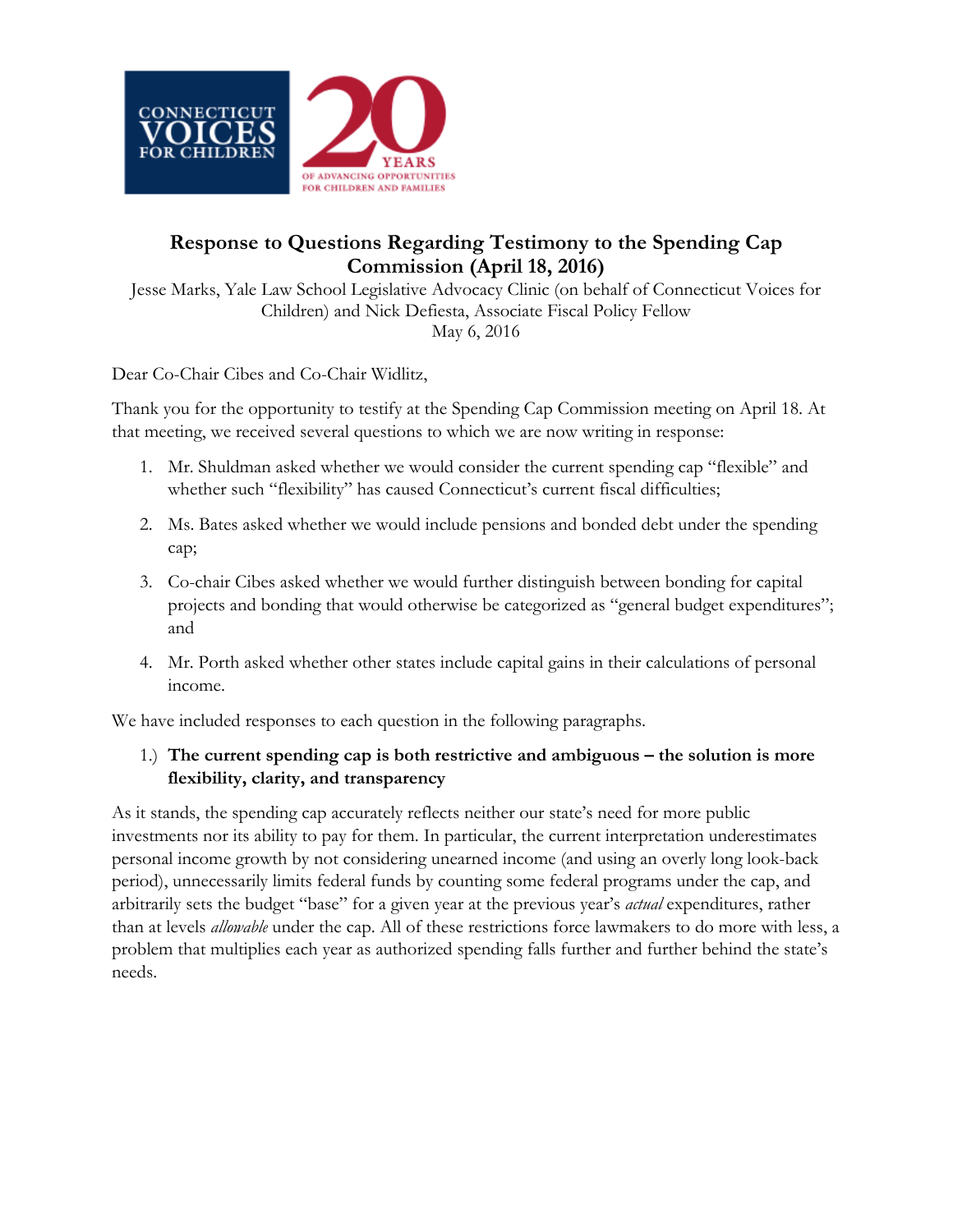

# **Response to Questions Regarding Testimony to the Spending Cap Commission (April 18, 2016)**

Jesse Marks, Yale Law School Legislative Advocacy Clinic (on behalf of Connecticut Voices for Children) and Nick Defiesta, Associate Fiscal Policy Fellow May 6, 2016

Dear Co-Chair Cibes and Co-Chair Widlitz,

Thank you for the opportunity to testify at the Spending Cap Commission meeting on April 18. At that meeting, we received several questions to which we are now writing in response:

- 1. Mr. Shuldman asked whether we would consider the current spending cap "flexible" and whether such "flexibility" has caused Connecticut's current fiscal difficulties;
- 2. Ms. Bates asked whether we would include pensions and bonded debt under the spending cap;
- 3. Co-chair Cibes asked whether we would further distinguish between bonding for capital projects and bonding that would otherwise be categorized as "general budget expenditures"; and
- 4. Mr. Porth asked whether other states include capital gains in their calculations of personal income.

We have included responses to each question in the following paragraphs.

## 1.) **The current spending cap is both restrictive and ambiguous – the solution is more flexibility, clarity, and transparency**

As it stands, the spending cap accurately reflects neither our state's need for more public investments nor its ability to pay for them. In particular, the current interpretation underestimates personal income growth by not considering unearned income (and using an overly long look-back period), unnecessarily limits federal funds by counting some federal programs under the cap, and arbitrarily sets the budget "base" for a given year at the previous year's *actual* expenditures, rather than at levels *allowable* under the cap. All of these restrictions force lawmakers to do more with less, a problem that multiplies each year as authorized spending falls further and further behind the state's needs.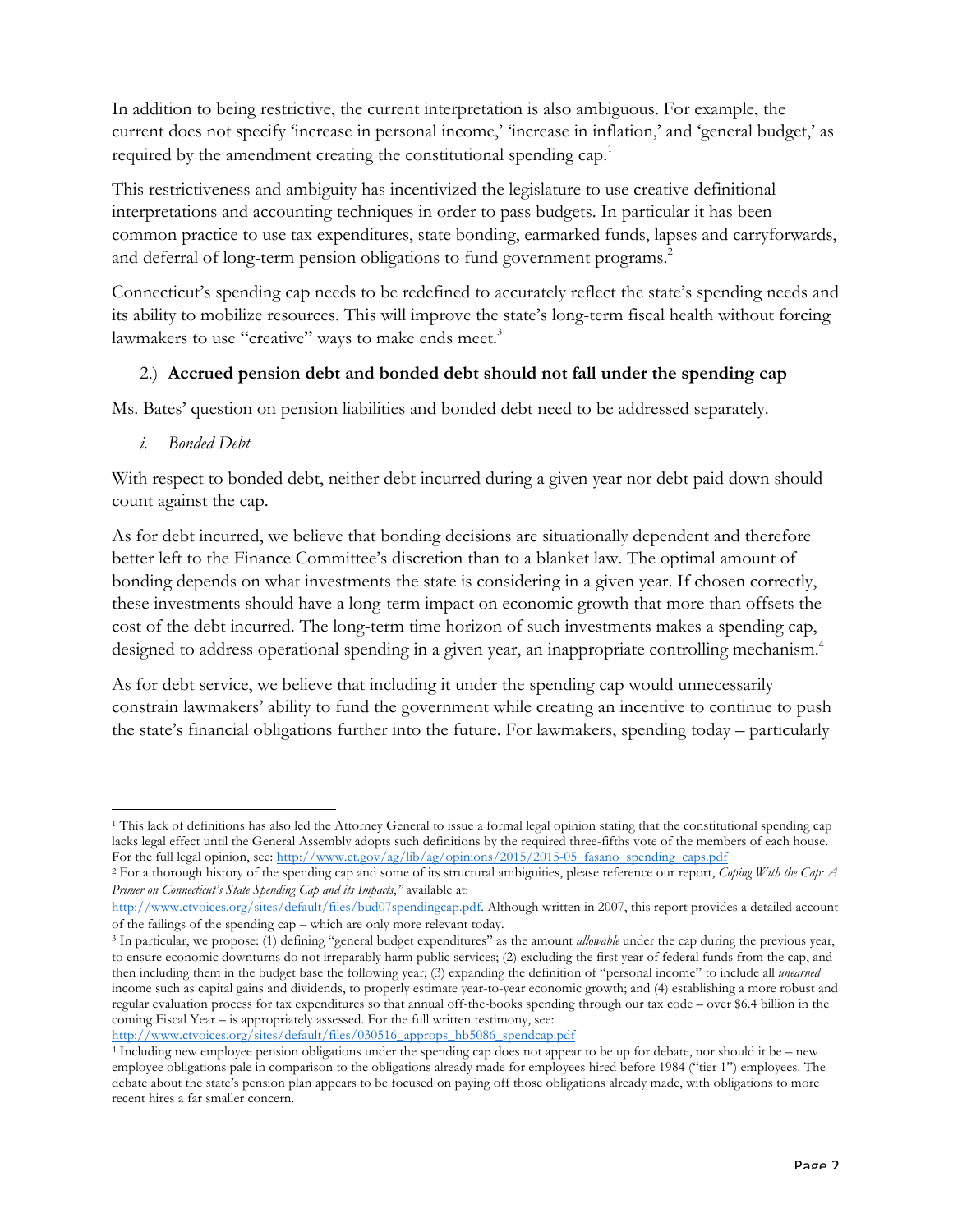In addition to being restrictive, the current interpretation is also ambiguous. For example, the current does not specify 'increase in personal income,' 'increase in inflation,' and 'general budget,' as required by the amendment creating the constitutional spending cap.<sup>1</sup>

This restrictiveness and ambiguity has incentivized the legislature to use creative definitional interpretations and accounting techniques in order to pass budgets. In particular it has been common practice to use tax expenditures, state bonding, earmarked funds, lapses and carryforwards, and deferral of long-term pension obligations to fund government programs.<sup>2</sup>

Connecticut's spending cap needs to be redefined to accurately reflect the state's spending needs and its ability to mobilize resources. This will improve the state's long-term fiscal health without forcing lawmakers to use "creative" ways to make ends meet.<sup>3</sup>

## 2.) **Accrued pension debt and bonded debt should not fall under the spending cap**

Ms. Bates' question on pension liabilities and bonded debt need to be addressed separately.

*i. Bonded Debt*

With respect to bonded debt, neither debt incurred during a given year nor debt paid down should count against the cap.

As for debt incurred, we believe that bonding decisions are situationally dependent and therefore better left to the Finance Committee's discretion than to a blanket law. The optimal amount of bonding depends on what investments the state is considering in a given year. If chosen correctly, these investments should have a long-term impact on economic growth that more than offsets the cost of the debt incurred. The long-term time horizon of such investments makes a spending cap, designed to address operational spending in a given year, an inappropriate controlling mechanism. 4

As for debt service, we believe that including it under the spending cap would unnecessarily constrain lawmakers' ability to fund the government while creating an incentive to continue to push the state's financial obligations further into the future. For lawmakers, spending today – particularly

http://www.ctvoices.org/sites/default/files/030516\_approps\_hb5086\_spendcap.pdf

<sup>&</sup>lt;u> 1989 - Jan Samuel Barbara, margaret e</u> <sup>1</sup> This lack of definitions has also led the Attorney General to issue a formal legal opinion stating that the constitutional spending cap lacks legal effect until the General Assembly adopts such definitions by the required three-fifths vote of the members of each house. For the full legal opinion, see: http://www.ct.gov/ag/lib/ag/opinions/2015/2015-05\_fasano\_spending\_caps.pdf

<sup>2</sup> For a thorough history of the spending cap and some of its structural ambiguities, please reference our report, *Coping With the Cap: A Primer on Connecticut's State Spending Cap and its Impacts*,*"* available at:

http://www.ctvoices.org/sites/default/files/bud07spendingcap.pdf. Although written in 2007, this report provides a detailed account of the failings of the spending cap – which are only more relevant today.

<sup>3</sup> In particular, we propose: (1) defining "general budget expenditures" as the amount *allowable* under the cap during the previous year, to ensure economic downturns do not irreparably harm public services; (2) excluding the first year of federal funds from the cap, and then including them in the budget base the following year; (3) expanding the definition of "personal income" to include all *unearned* income such as capital gains and dividends, to properly estimate year-to-year economic growth; and (4) establishing a more robust and regular evaluation process for tax expenditures so that annual off-the-books spending through our tax code – over \$6.4 billion in the coming Fiscal Year – is appropriately assessed. For the full written testimony, see:

<sup>4</sup> Including new employee pension obligations under the spending cap does not appear to be up for debate, nor should it be – new employee obligations pale in comparison to the obligations already made for employees hired before 1984 ("tier 1") employees. The debate about the state's pension plan appears to be focused on paying off those obligations already made, with obligations to more recent hires a far smaller concern.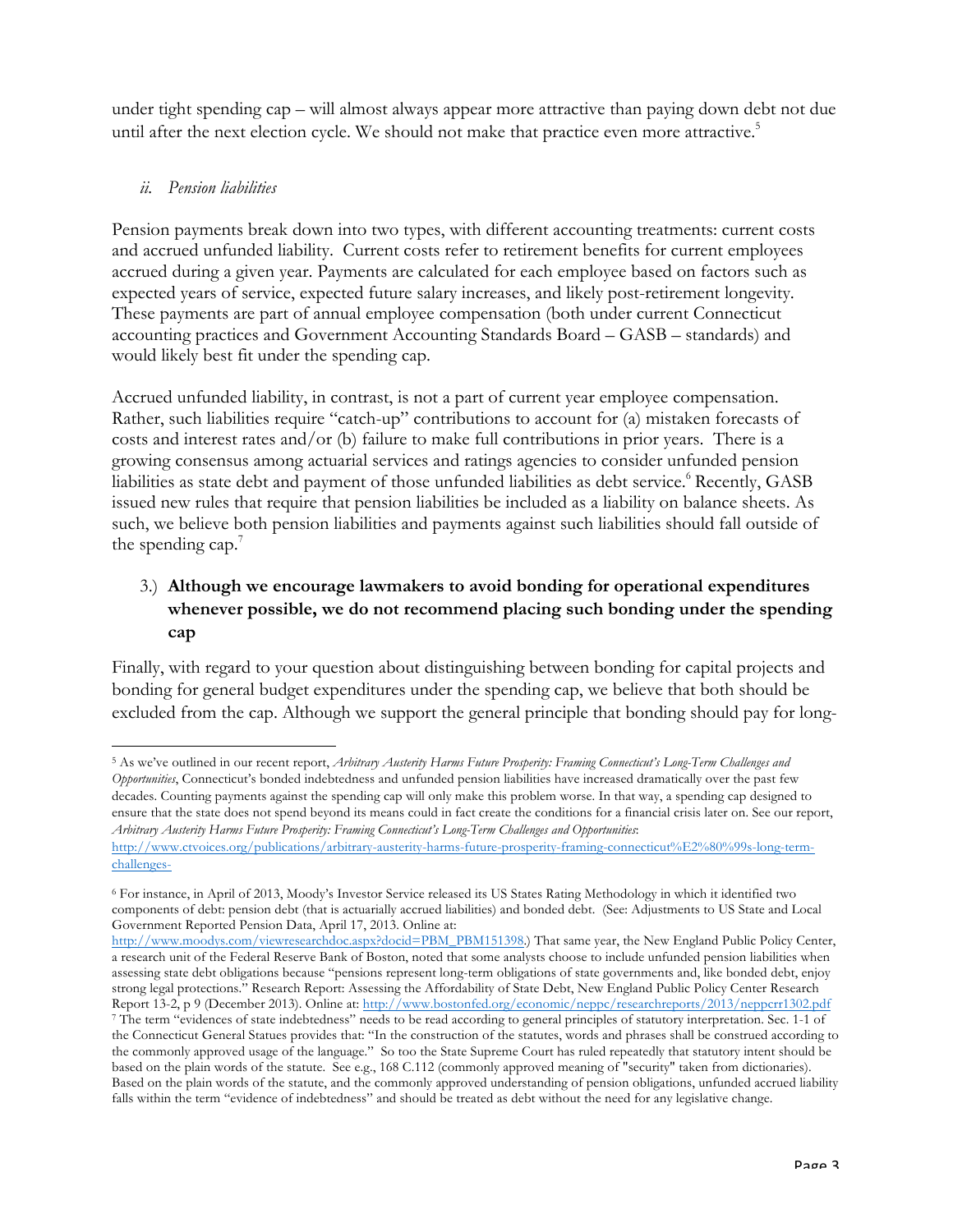under tight spending cap – will almost always appear more attractive than paying down debt not due until after the next election cycle. We should not make that practice even more attractive.<sup>5</sup>

#### *ii. Pension liabilities*

Pension payments break down into two types, with different accounting treatments: current costs and accrued unfunded liability. Current costs refer to retirement benefits for current employees accrued during a given year. Payments are calculated for each employee based on factors such as expected years of service, expected future salary increases, and likely post-retirement longevity. These payments are part of annual employee compensation (both under current Connecticut accounting practices and Government Accounting Standards Board – GASB – standards) and would likely best fit under the spending cap.

Accrued unfunded liability, in contrast, is not a part of current year employee compensation. Rather, such liabilities require "catch-up" contributions to account for (a) mistaken forecasts of costs and interest rates and/or (b) failure to make full contributions in prior years. There is a growing consensus among actuarial services and ratings agencies to consider unfunded pension liabilities as state debt and payment of those unfunded liabilities as debt service. <sup>6</sup> Recently, GASB issued new rules that require that pension liabilities be included as a liability on balance sheets. As such, we believe both pension liabilities and payments against such liabilities should fall outside of the spending cap. $<sup>7</sup>$ </sup>

# 3.) **Although we encourage lawmakers to avoid bonding for operational expenditures whenever possible, we do not recommend placing such bonding under the spending cap**

Finally, with regard to your question about distinguishing between bonding for capital projects and bonding for general budget expenditures under the spending cap, we believe that both should be excluded from the cap. Although we support the general principle that bonding should pay for long-

<sup>&</sup>lt;u> 1989 - Jan Samuel Barbara, margaret e</u> <sup>5</sup> As we've outlined in our recent report, *Arbitrary Austerity Harms Future Prosperity: Framing Connecticut's Long-Term Challenges and Opportunities*, Connecticut's bonded indebtedness and unfunded pension liabilities have increased dramatically over the past few decades. Counting payments against the spending cap will only make this problem worse. In that way, a spending cap designed to ensure that the state does not spend beyond its means could in fact create the conditions for a financial crisis later on. See our report, *Arbitrary Austerity Harms Future Prosperity: Framing Connecticut's Long-Term Challenges and Opportunities*:

http://www.ctvoices.org/publications/arbitrary-austerity-harms-future-prosperity-framing-connecticut%E2%80%99s-long-termchallenges-

<sup>6</sup> For instance, in April of 2013, Moody's Investor Service released its US States Rating Methodology in which it identified two components of debt: pension debt (that is actuarially accrued liabilities) and bonded debt. (See: Adjustments to US State and Local Government Reported Pension Data, April 17, 2013. Online at:

http://www.moodys.com/viewresearchdoc.aspx?docid=PBM\_PBM151398.) That same year, the New England Public Policy Center, a research unit of the Federal Reserve Bank of Boston, noted that some analysts choose to include unfunded pension liabilities when assessing state debt obligations because "pensions represent long-term obligations of state governments and, like bonded debt, enjoy strong legal protections." Research Report: Assessing the Affordability of State Debt, New England Public Policy Center Research Report 13-2, p 9 (December 2013). Online at: http://www.bostonfed.org/economic/neppc/researchreports/2013/neppcrr1302.pdf

<sup>7</sup> The term "evidences of state indebtedness" needs to be read according to general principles of statutory interpretation. Sec. 1-1 of the Connecticut General Statues provides that: "In the construction of the statutes, words and phrases shall be construed according to the commonly approved usage of the language." So too the State Supreme Court has ruled repeatedly that statutory intent should be based on the plain words of the statute. See e.g., 168 C.112 (commonly approved meaning of "security" taken from dictionaries). Based on the plain words of the statute, and the commonly approved understanding of pension obligations, unfunded accrued liability falls within the term "evidence of indebtedness" and should be treated as debt without the need for any legislative change.